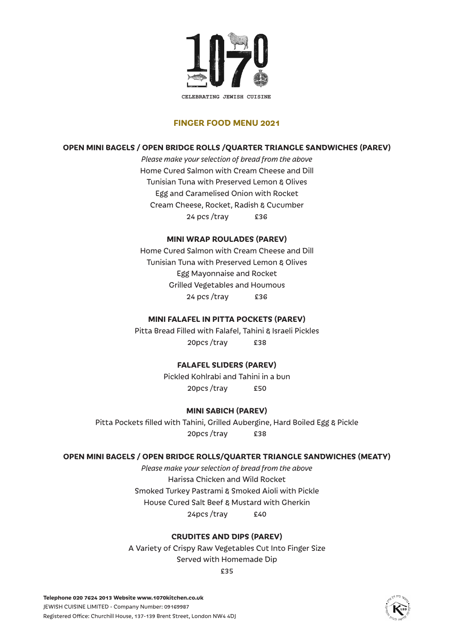

### **FINGER FOOD MENU 2021**

#### **OPEN MINI BAGELS / OPEN BRIDGE ROLLS /QUARTER TRIANGLE SANDWICHES (PAREV)**

*Please make your selection of bread from the above* Home Cured Salmon with Cream Cheese and Dill Tunisian Tuna with Preserved Lemon & Olives Egg and Caramelised Onion with Rocket Cream Cheese, Rocket, Radish & Cucumber 24 pcs /tray £36

### **MINI WRAP ROULADES (PAREV)**

Home Cured Salmon with Cream Cheese and Dill Tunisian Tuna with Preserved Lemon & Olives Egg Mayonnaise and Rocket Grilled Vegetables and Houmous 24 pcs /tray £36

#### **MINI FALAFEL IN PITTA POCKETS (PAREV)**

Pitta Bread Filled with Falafel, Tahini & Israeli Pickles 20pcs /tray £38

#### **FALAFEL SLIDERS (PAREV)**

Pickled Kohlrabi and Tahini in a bun 20pcs /tray £50

#### **MINI SABICH (PAREV)**

Pitta Pockets filled with Tahini, Grilled Aubergine, Hard Boiled Egg & Pickle 20pcs /tray £38

#### **OPEN MINI BAGELS / OPEN BRIDGE ROLLS/QUARTER TRIANGLE SANDWICHES (MEATY)**

*Please make your selection of bread from the above* Harissa Chicken and Wild Rocket Smoked Turkey Pastrami & Smoked Aioli with Pickle House Cured Salt Beef & Mustard with Gherkin 24pcs /tray £40

#### **CRUDITES AND DIPS (PAREV)**

A Variety of Crispy Raw Vegetables Cut Into Finger Size Served with Homemade Dip

£35

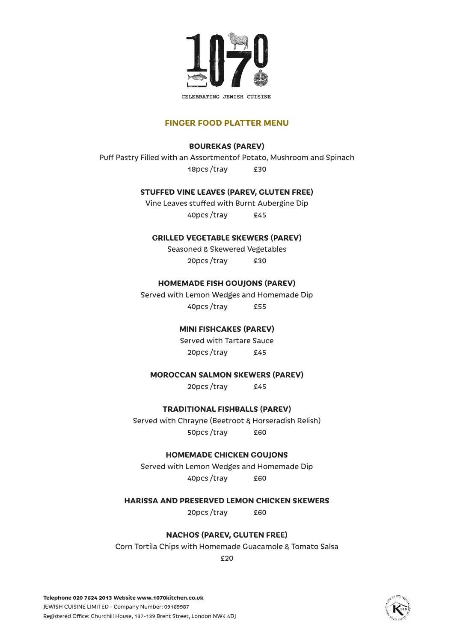

#### **FINGER FOOD PLATTER MENU**

## **BOUREKAS (PAREV)**

Puff Pastry Filled with an Assortmentof Potato, Mushroom and Spinach 18pcs /tray £30

### **STUFFED VINE LEAVES (PAREV, GLUTEN FREE)**

Vine Leaves stuffed with Burnt Aubergine Dip 40pcs /tray £45

### **GRILLED VEGETABLE SKEWERS (PAREV)**

Seasoned & Skewered Vegetables 20pcs /tray £30

### **HOMEMADE FISH GOUJONS (PAREV)**

Served with Lemon Wedges and Homemade Dip 40pcs /tray £55

## **MINI FISHCAKES (PAREV)**

Served with Tartare Sauce 20pcs /tray £45

#### **MOROCCAN SALMON SKEWERS (PAREV)**

20pcs /tray £45

## **TRADITIONAL FISHBALLS (PAREV)**

Served with Chrayne (Beetroot & Horseradish Relish) 50pcs /tray £60

#### **HOMEMADE CHICKEN GOUJONS**

Served with Lemon Wedges and Homemade Dip 40pcs /tray £60

## **HARISSA AND PRESERVED LEMON CHICKEN SKEWERS**

20pcs /tray £60

#### **NACHOS (PAREV, GLUTEN FREE)**

Corn Tortila Chips with Homemade Guacamole & Tomato Salsa

£20